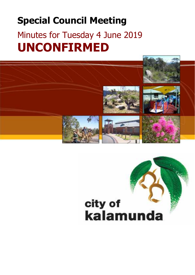# **Special Council Meeting**

# Minutes for Tuesday 4 June 2019 **UNCONFIRMED**



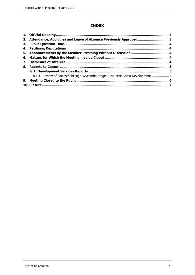# **INDEX**

|    | 2. Attendance, Apologies and Leave of Absence Previously Approved  3             |  |
|----|----------------------------------------------------------------------------------|--|
|    |                                                                                  |  |
|    |                                                                                  |  |
|    |                                                                                  |  |
|    |                                                                                  |  |
| 7. |                                                                                  |  |
|    |                                                                                  |  |
|    |                                                                                  |  |
|    | 8.1.1. Review of Forrestfield High Wycombe Stage 1 Industrial Area Development 5 |  |
|    |                                                                                  |  |
|    |                                                                                  |  |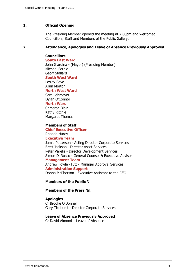# **1. Official Opening**

The Presiding Member opened the meeting at 7.00pm and welcomed Councillors, Staff and Members of the Public Gallery.

### **2. Attendance, Apologies and Leave of Absence Previously Approved**

# **Councillors**

**South East Ward**  John Giardina - (Mayor) (Presiding Member) Michael Fernie Geoff Stallard **South West Ward** Lesley Boyd Allan Morton **North West Ward** Sara Lohmeyer Dylan O'Connor **North Ward**

Cameron Blair Kathy Ritchie Margaret Thomas

## **Members of Staff**

**Chief Executive Officer** Rhonda Hardy **Executive Team** Jamie Patterson - Acting Director Corporate Services Brett Jackson - Director Asset Services

Peter Varelis - Director Development Services Simon Di Rosso - General Counsel & Executive Advisor **Management Team** Andrew Fowler-Tutt - Manager Approval Services **Administration Support**

Donna McPherson - Executive Assistant to the CEO

**Members of the Public** 3

**Members of the Press** Nil.

#### **Apologies**

Cr Brooke O'Donnell Gary Ticehurst - Director Corporate Services

**Leave of Absence Previously Approved** Cr David Almond – Leave of Absence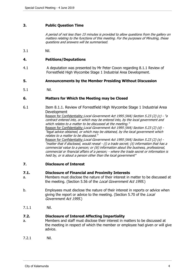# **3. Public Question Time**

A period of not less than 15 minutes is provided to allow questions from the gallery on matters relating to the functions of this meeting. For the purposes of Minuting, these questions and answers will be summarised.

3.1 Nil.

# **4. Petitions/Deputations**

4.1 A deputation was presented by Mr Peter Coxon regarding 8.1.1 Review of Forrestfield High Wycombe Stage 1 Industrial Area Development.

### **5. Announcements by the Member Presiding Without Discussion**

5.1 Nil.

### **6. Matters for Which the Meeting may be Closed**

6.1 Item 8.1.1. Review of Forrestfield High Wycombe Stage 1 Industrial Area Development

> Reason for Confidentiality: Local Government Act 1995 (WA) Section 5.23 (2) (c) - "a contract entered into, or which may be entered into, by the local government and which relates to a matter to be discussed at the meeting."

Reason for Confidentiality: Local Government Act 1995 (WA) Section 5.23 (2) (d) -"legal advice obtained, or which may be obtained, by the local government which relates to a matter to be discussed."

Reason for Confidentiality: Local Government Act 1995 (WA) Section 5.23 (2) (e) -"matter that if disclosed, would reveal - (i) a trade secret; (ii) information that has a commercial value to a person; or (iii) information about the business, professional, commercial or financial affairs of a person; - where the trade secret or information is held by, or is about a person other than the local government"

### **7. Disclosure of Interest**

#### **7.1. Disclosure of Financial and Proximity Interests**

- a. Members must disclose the nature of their interest in matter to be discussed at the meeting. (Section 5.56 of the Local Government Act 1995.)
- b. Employees must disclose the nature of their interest in reports or advice when giving the report or advice to the meeting. (Section 5.70 of the Local Government Act 1995.)
- 7.1.1 Nil.

## **7.2. Disclosure of Interest Affecting Impartiality**

- a. Members and staff must disclose their interest in matters to be discussed at the meeting in respect of which the member or employee had given or will give advice.
- 7.2.1 Nil.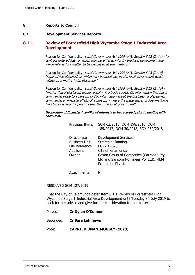# **8. Reports to Council**

#### **8.1. Development Services Reports**

# **8.1.1. Review of Forrestfield High Wycombe Stage 1 Industrial Area Development**

Reason for Confidentiality: Local Government Act 1995 (WA) Section 5.23 (2) (c) - "a contract entered into, or which may be entered into, by the local government and which relates to a matter to be discussed at the meeting."

Reason for Confidentiality: Local Government Act 1995 (WA) Section 5.23 (2) (d) -"legal advice obtained, or which may be obtained, by the local government which relates to a matter to be discussed."

Reason for Confidentiality: Local Government Act 1995 (WA) Section 5.23 (2) (e) -"matter that if disclosed, would reveal - (i) a trade secret; (ii) information that has a commercial value to a person; or (iii) information about the business, professional, commercial or financial affairs of a person; - where the trade secret or information is held by, or is about a person other than the local government"

#### **Declaration of financial / conflict of interests to be recorded prior to dealing with each item.**

| Previous Items                                                              | SCM 62/2015, OCM 198/2016, OCM<br>185/2017, OCM 30/2018, SCM 230/2018                                                                                                                                |
|-----------------------------------------------------------------------------|------------------------------------------------------------------------------------------------------------------------------------------------------------------------------------------------------|
| Directorate<br><b>Business Unit</b><br>File Reference<br>Applicant<br>Owner | <b>Development Services</b><br>Strategic Planning<br><b>PG-STU-028</b><br>City of Kalamunda<br>Coxon Group of Companies (Carrooda Pty<br>Ltd and Sansom Nominees Pty Ltd), MEM<br>Properties Pty Ltd |
| Attachments                                                                 | Nil                                                                                                                                                                                                  |

#### RESOLVED SCM 127/2019

That the City of Kalamunda defer Item 8.1.1 Review of Forrestfield High Wycombe Stage 1 Industrial Area Development until Tuesday 30 July 2019 to seek further advice and give further consideration to the matter.

- Moved: **Cr Dylan O'Connor**
- Seconded: **Cr Sara Lohmeyer**
- Vote: **CARRIED UNANIMOUSLY (10/0)**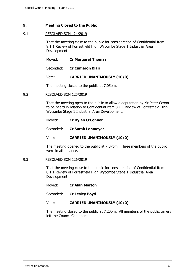# **9. Meeting Closed to the Public**

### 9.1 RESOLVED SCM 124/2019

 That the meeting close to the public for consideration of Confidential Item 8.1.1 Review of Forrestfield High Wycombe Stage 1 Industrial Area Development.

| Moved: | <b>Cr Margaret Thomas</b> |
|--------|---------------------------|
|        |                           |

Seconded: **Cr Cameron Blair**

Vote: **CARRIED UNANIMOUSLY (10/0)** 

The meeting closed to the public at 7.05pm.

#### 9.2 RESOLVED SCM 125/2019

 That the meeting open to the public to allow a deputation by Mr Peter Coxon to be heard in relation to Confidential Item 8.1.1 Review of Forrestfield High Wycombe Stage 1 Industrial Area Development.

Moved: **Cr Dylan O'Connor**

Seconded: **Cr Sarah Lohmeyer**

Vote: **CARRIED UNANIMOUSLY (10/0)** 

 The meeting opened to the public at 7.07pm. Three members of the public were in attendance.

#### 9.3 RESOLVED SCM 126/2019

 That the meeting close to the public for consideration of Confidential Item 8.1.1 Review of Forrestfield High Wycombe Stage 1 Industrial Area Development.

| <b>Cr Alan Morton</b> |
|-----------------------|
|                       |

Seconded: **Cr Lesley Boyd**

Vote: **CARRIED UNANIMOUSLY (10/0)** 

 The meeting closed to the public at 7.20pm. All members of the public gallery left the Council Chambers.